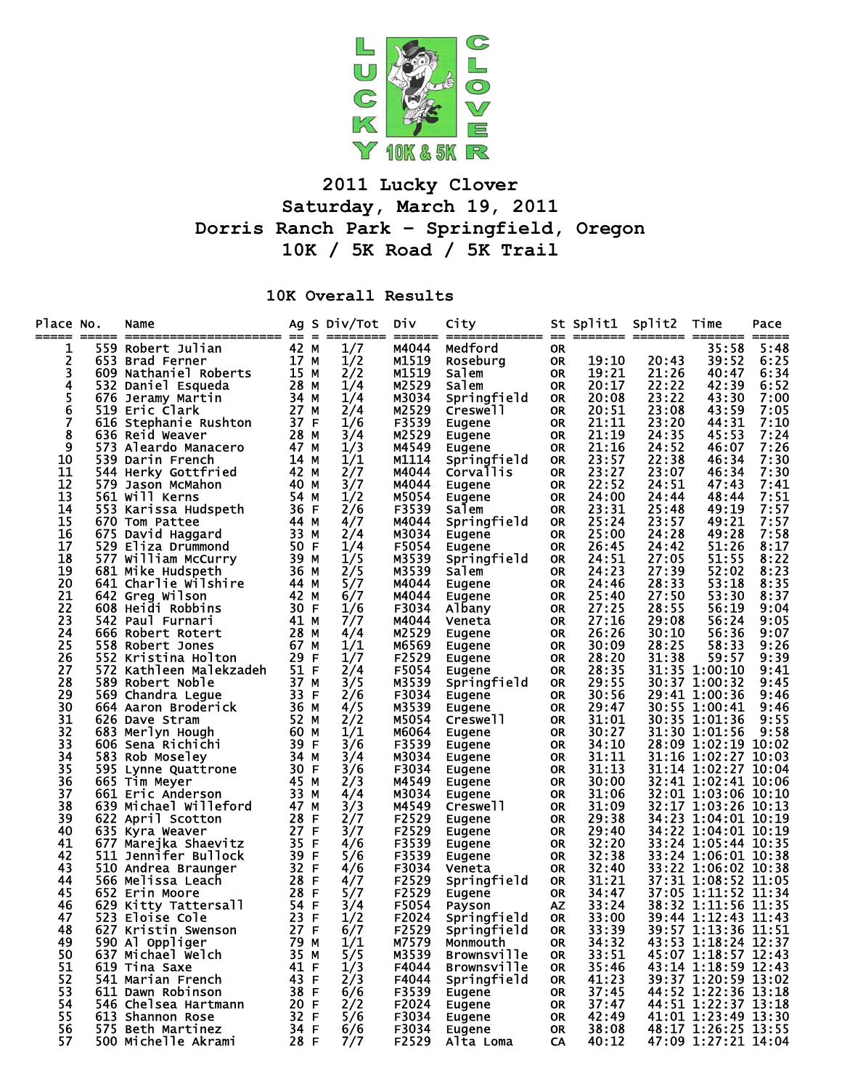

## **2011 Lucky Clover Saturday, March 19, 2011 Dorris Ranch Park – Springfield, Oregon 10K / 5K Road / 5K Trail**

## **10K Overall Results**

| Place No.<br>===== | Name                                    |              |   | Ag S Div/Tot<br>======== | Div<br>$=$ $=$ $=$ $=$ $=$ $=$ | City<br>============= == ======= ======= == |                        | St Split1 Split2 |                | Time<br>===== ==                           | Pace         |
|--------------------|-----------------------------------------|--------------|---|--------------------------|--------------------------------|---------------------------------------------|------------------------|------------------|----------------|--------------------------------------------|--------------|
| 1                  | 559 Robert Julian                       | 42 M         |   | 1/7                      | M4044                          | Medford                                     | 0R                     |                  |                | 35:58                                      | 5:48         |
| 2                  | 653 Brad Ferner                         | 17 M         |   | 1/2                      | M1519                          | Roseburg                                    | 0R                     | 19:10            | 20:43          | 39:52                                      | 6:25         |
| 3                  | 609 Nathaniel Roberts                   | 15 M         |   | 2/2                      | M1519                          | Salem                                       | <b>OR</b>              | 19:21            | 21:26          | 40:47                                      | 6:34         |
| 4                  | 532 Daniel Esqueda                      | 28 M         |   | 1/4                      | M2529                          | Salem                                       | 0R                     | 20:17            | 22:22          | 42:39                                      | 6:52         |
| 5                  | 676 Jeramy Martin                       | 34 M         |   | 1/4                      | M3034                          | Springfield                                 | <b>OR</b>              | 20:08            | 23:22          | 43:30                                      | 7:00         |
| 6                  | 519 Eric Clark                          | 27 M         |   | 2/4                      | M2529                          | Creswell                                    | <b>OR</b>              | 20:51            | 23:08          | 43:59                                      | 7:05         |
| 7                  | 616 Stephanie Rushton                   | 37 F         |   | 1/6                      | F3539                          | Eugene                                      | <b>OR</b>              | 21:11            | 23:20          | 44:31                                      | 7:10         |
| 8                  | 636 Reid Weaver                         | 28 M         |   | 3/4                      | M2529                          | Eugene                                      | 0R                     | 21:19            | 24:35          | 45:53                                      | 7:24         |
| 9                  | 573 Aleardo Manacero                    | 47 M         |   | 1/3                      | M4549                          | Eugene                                      | <b>OR</b>              | 21:16            | 24:52          | 46:07                                      | 7:26         |
| 10                 | 539 Darin French                        | 14 M         |   | 1/1                      | M1114                          | Springfield                                 | 0R                     | 23:57            | 22:38          | 46:34                                      | 7:30         |
| 11                 | 544 Herky Gottfried                     | 42 M         |   | 2/7                      | M4044                          | <b>Corvallis</b>                            | <b>OR</b>              | 23:27            | 23:07          | 46:34                                      | 7:30         |
| 12                 | 579 Jason McMahon                       | 40 M         |   | 3/7                      | M4044                          | Eugene                                      | <b>OR</b>              | 22:52            | 24:51          | 47:43                                      | 7:41         |
| 13                 | 561 Will Kerns                          | 54 M         |   | 1/2                      | M5054                          | Eugene                                      | <b>OR</b>              | 24:00            | 24:44          | 48:44                                      | 7:51         |
| 14                 | 553 Karissa Hudspeth                    | 36 F         |   | 2/6                      | F3539                          | Salem                                       | <b>OR</b>              | 23:31            | 25:48          | 49:19                                      | 7:57         |
| 15<br>16           | 670 Tom Pattee                          | 44 M<br>33 M |   | 4/7                      | M4044<br>M3034                 | Springfield                                 | <b>OR</b><br><b>OR</b> | 25:24<br>25:00   | 23:57<br>24:28 | 49:21<br>49:28                             | 7:57<br>7:58 |
| 17                 | 675 David Haggard<br>529 Eliza Drummond | 50 F         |   | 2/4<br>1/4               | F5054                          | Eugene                                      | <b>OR</b>              | 26:45            | 24:42          | 51:26                                      | 8:17         |
| 18                 | 577 William McCurry                     | 39 M         |   | 1/5                      | M3539                          | Eugene<br>Springfield                       | 0R                     | 24:51            | 27:05          | 51:55                                      | 8:22         |
| 19                 | 681 Mike Hudspeth                       | 36 M         |   | 2/5                      | M3539                          | Salem                                       | <b>OR</b>              | 24:23            | 27:39          | 52:02                                      | 8:23         |
| 20                 | 641 Charlie Wilshire                    | 44 M         |   | 5/7                      | M4044                          | Eugene                                      | <b>OR</b>              | 24:46            | 28:33          | 53:18                                      | 8:35         |
| 21                 | 642 Greg Wilson                         | 42 M         |   | 6/7                      | M4044                          | Eugene                                      | <b>OR</b>              | 25:40            | 27:50          | 53:30                                      | 8:37         |
| 22                 | 608 Heidi Robbins                       | 30 F         |   | 1/6                      | F3034                          | Albany                                      | 0R                     | 27:25            | 28:55          | 56:19                                      | 9:04         |
| 23                 | 542 Paul Furnari                        | 41 M         |   | 7/7                      | M4044                          | Veneta                                      | <b>OR</b>              | 27:16            | 29:08          | 56:24                                      | 9:05         |
| 24                 | 666 Robert Rotert                       | 28 M         |   | 4/4                      | M2529                          | Eugene                                      | 0R                     | 26:26            | 30:10          | 56:36                                      | 9:07         |
| 25                 | 558 Robert Jones                        | 67 M         |   | 1/1                      | M6569                          | Eugene                                      | <b>OR</b>              | 30:09            | 28:25          | 58:33                                      | 9:26         |
| 26                 | 552 Kristina Holton                     | 29 F         |   | 1/7                      | F2529                          | Eugene                                      | 0R                     | 28:20            | 31:38          | 59:57                                      | 9:39         |
| 27                 | 572 Kathleen Malekzadeh                 | 51 F         |   | 2/4                      | F5054                          | Eugene                                      | <b>OR</b>              | 28:35            |                | 31:35 1:00:10                              | 9:41         |
| 28                 | 589 Robert Noble                        | 37 M         |   | 3/5                      | M3539                          | Springfield                                 | 0R                     | 29:55            |                | 30:37 1:00:32                              | 9:45         |
| 29                 | 569 Chandra Legue                       | 33 F         |   | 2/6                      | F3034                          | Eugene                                      | <b>OR</b>              | 30:56            |                | 29:41 1:00:36                              | 9:46         |
| 30                 | 664 Aaron Broderick                     | 36 M         |   | 4/5                      | M3539                          | Eugene                                      | <b>OR</b>              | 29:47            |                | 30:55 1:00:41                              | 9:46         |
| 31                 | 626 Dave Stram                          | 52 M         |   | 2/2                      | M5054                          | Creswell                                    | <b>OR</b>              | 31:01            |                | 30:35 1:01:36                              | 9:55         |
| 32                 | 683 Merlyn Hough                        | 60 M         |   | 1/1                      | M6064                          | Eugene                                      | <b>OR</b>              | 30:27            |                | 31:30 1:01:56                              | 9:58         |
| 33                 | 606 Sena Richichi                       | 39 F         |   | 3/6                      | F3539                          | Eugene                                      | <b>OR</b>              | 34:10            |                | 28:09 1:02:19                              | 10:02        |
| 34                 | 583 Rob Moseley                         | 34 M         |   | 3/4                      | M3034                          | Eugene                                      | 0R                     | 31:11            |                | 31:16 1:02:27 10:03                        |              |
| 35                 | 595 Lynne Quattrone                     | 30 F         |   | 3/6                      | F3034                          | Eugene                                      | <b>OR</b>              | 31:13            |                | 31:14 1:02:27 10:04                        |              |
| 36                 | 665 Tim Meyer                           | 45 M         |   | 2/3                      | M4549                          | Eugene                                      | 0R                     | 30:00            |                | 32:41 1:02:41 10:06                        |              |
| 37                 | 661 Eric Anderson                       | 33 M         |   | 4/4                      | M3034                          | Eugene                                      | <b>OR</b>              | 31:06            |                | 32:01 1:03:06 10:10                        |              |
| 38                 | 639 Michael Willeford                   | 47 M         |   | 3/3                      | M4549                          | Creswell                                    | 0R                     | 31:09            |                | 32:17 1:03:26 10:13                        |              |
| 39                 | 622 April Scotton                       | 28           | F | 2/7                      | F2529                          | Eugene                                      | <b>OR</b>              | 29:38            |                | 34:23 1:04:01 10:19                        |              |
| 40                 | 635 Kyra Weaver                         | 27 F         |   | 3/7                      | F2529                          | Eugene                                      | 0R                     | 29:40            |                | 34:22 1:04:01 10:19                        |              |
| 41                 | 677 Marejka Shaevitz                    | 35           | F | 4/6                      | F3539                          | Eugene                                      | <b>OR</b>              | 32:20            |                | 33:24 1:05:44 10:35                        |              |
| 42                 | 511 Jennifer Bullock                    | 39 F         |   | 5/6                      | F3539                          | Eugene                                      | 0R                     | 32:38            |                | 33:24 1:06:01 10:38                        |              |
| 43                 | 510 Andrea Braunger                     | 32 F         |   | 4/6                      | F3034                          | Veneta                                      | <b>OR</b>              | 32:40            |                | 33:22 1:06:02 10:38                        |              |
| 44                 | 566 Melissa Leach                       | 28 F         |   | 4/7                      | F2529                          | Springfield                                 | 0R                     | 31:21            |                | 37:31 1:08:52 11:05                        |              |
| 45                 | 652 Erin Moore                          | 28 F         |   | 5/7                      | F2529                          | Eugene                                      | <b>OR</b>              | 34:47            |                | 37:05 1:11:52 11:34                        |              |
| 46                 | 629 Kitty Tattersall                    | 54 F         |   | 3/4                      | F5054                          | Payson                                      | <b>AZ</b>              | 33:24            |                | 38:32 1:11:56                              | 11:35        |
| 47                 | 523 Eloise Cole                         | 23 F         |   | 1/2                      | F2024                          | Springfield                                 | <b>OR</b>              | 33:00            |                | 39:44 1:12:43 11:43<br>39:57 1:13:36 11:51 |              |
| 48<br>49           | 627 Kristin Swenson<br>590 Al Oppliger  | 27 F<br>79 M |   | 6/7<br>1/1               | F2529<br>M7579                 | Springfield<br>Monmouth                     | <b>OR</b>              | 33:39<br>34:32   |                | 43:53 1:18:24 12:37                        |              |
| 50                 |                                         | 35 M         |   | 5/5                      | M3539                          | <b>Brownsville</b>                          | 0R                     | 33:51            |                | 45:07 1:18:57 12:43                        |              |
| 51                 | 637 Michael Welch<br>619 Tina Saxe      | 41 F         |   | 1/3                      | F4044                          | <b>Brownsville</b>                          | 0R<br>0R               | 35:46            |                | 43:14 1:18:59 12:43                        |              |
| 52                 | 541 Marian French                       | 43 F         |   | 2/3                      | F4044                          | Springfield                                 | 0R                     | 41:23            |                | 39:37 1:20:59 13:02                        |              |
| 53                 | 611 Dawn Robinson                       | 38 F         |   | 6/6                      | F3539                          | Eugene                                      | 0R                     | 37:45            |                | 44:52 1:22:36 13:18                        |              |
| 54                 | 546 Chelsea Hartmann                    | 20 F         |   | 2/2                      | F2024                          | Eugene                                      | 0R                     | 37:47            |                | 44:51 1:22:37 13:18                        |              |
| 55                 | 613 Shannon Rose                        | 32 F         |   | 5/6                      | F3034                          | Eugene                                      | 0R                     | 42:49            |                | 41:01 1:23:49 13:30                        |              |
| 56                 | 575 Beth Martinez                       | 34 F         |   | 6/6                      | F3034                          | Eugene                                      | 0R                     | 38:08            |                | 48:17 1:26:25 13:55                        |              |
| 57                 | 500 Michelle Akrami                     | 28 F         |   | 7/7                      | F2529                          | Alta Loma                                   | CA                     | 40:12            |                | 47:09 1:27:21 14:04                        |              |
|                    |                                         |              |   |                          |                                |                                             |                        |                  |                |                                            |              |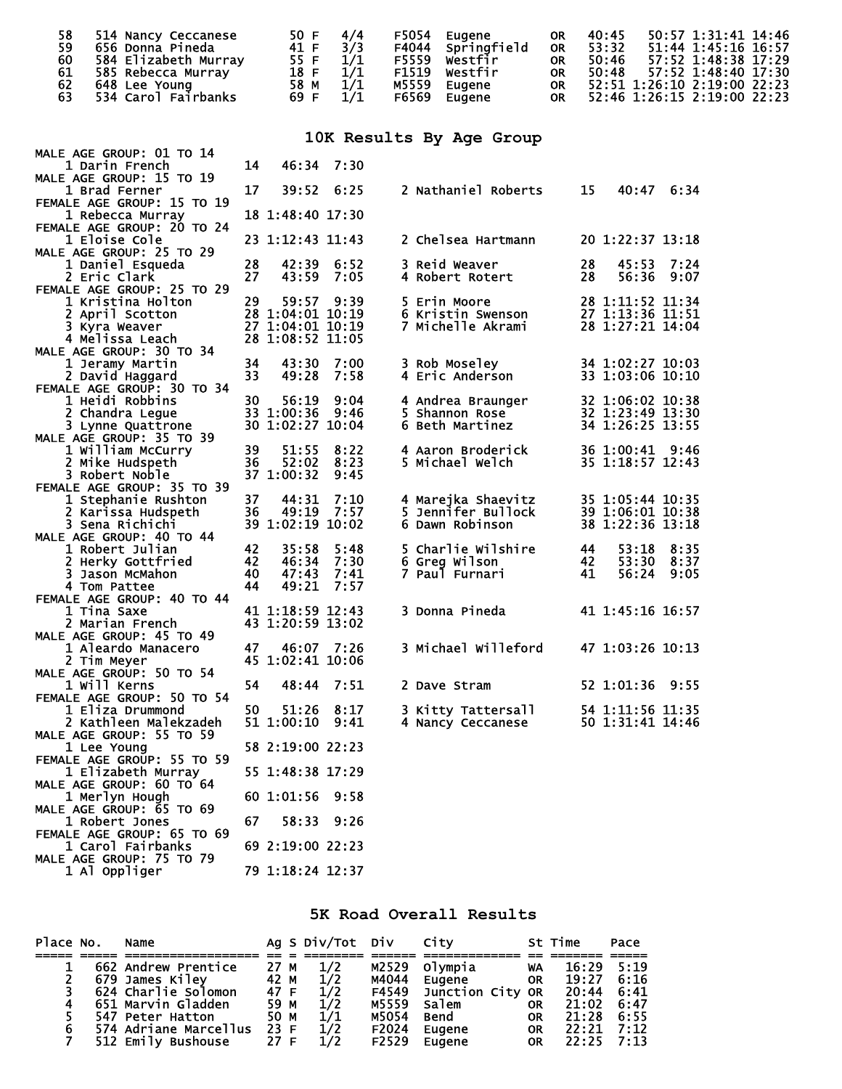|    | 514 Nancy Ceccanese  | 50 F $4/4$   |     |       | F5054 Eugene      | <b>OR</b> | 40:45 | 50:57 1:31:41 14:46            |
|----|----------------------|--------------|-----|-------|-------------------|-----------|-------|--------------------------------|
| 59 | 656 Donna Pineda     | 41 F $3/3$   |     |       | F4044 Springfield | <b>OR</b> | 53:32 | 51:44 1:45:16 16:57            |
| 60 | 584 Elizabeth Murray | 55 F $1/1$   |     |       | F5559 Westfir     | <b>OR</b> | 50:46 | 57:52 1:48:38 17:29            |
| 61 | 585 Rebecca Murray   | $18 F \t1/1$ |     |       | F1519 westfir     | <b>OR</b> |       | 50:48 57:52 1:48:40 17:30      |
| 62 | 648 Lee Young        | 58 M         | 1/1 | M5559 | Eugene            |           |       | OR 52:51 1:26:10 2:19:00 22:23 |
| 63 | 534 Carol Fairbanks  | 69 F $1/1$   |     | F6569 | Eugene            |           |       | OR 52:46 1:26:15 2:19:00 22:23 |

## **10K Results By Age Group**

| MALE AGE GROUP: 01 TO 14                        |    |                  |            |                        |    |                              |            |
|-------------------------------------------------|----|------------------|------------|------------------------|----|------------------------------|------------|
| 1 Darin French                                  | 14 | 46:34            | 7:30       |                        |    |                              |            |
| MALE AGE GROUP: 15 TO 19                        |    |                  |            |                        |    |                              |            |
| 1 Brad Ferner                                   | 17 | 39:52            | 6:25       | 2 Nathaniel Roberts    | 15 |                              | 40:47 6:34 |
| FEMALE AGE GROUP: 15 TO 19                      |    |                  |            |                        |    |                              |            |
| 1 Rebecca Murray                                |    | 18 1:48:40 17:30 |            |                        |    |                              |            |
| FEMALE AGE GROUP: 20 TO 24                      |    |                  |            |                        |    |                              |            |
| 1 Eloise Cole                                   |    | 23 1:12:43 11:43 |            | 2 Chelsea Hartmann     |    | 20 1:22:37 13:18             |            |
| MALE AGE GROUP: 25 TO 29                        | 28 | 42:39            | 6:52       | 3 Reid Weaver          | 28 |                              | 7:24       |
| 1 Daniel Esqueda                                | 27 | 43:59            | 7:05       | 4 Robert Rotert        | 28 | 45:53<br>56:36               | 9:07       |
| 2 Eric Clark                                    |    |                  |            |                        |    |                              |            |
| FEMALE AGE GROUP: 25 TO 29<br>1 Kristina Holton | 29 |                  | 59:57 9:39 | 5 Erin Moore           |    | 28 1:11:52 11:34             |            |
| 2 April Scotton                                 |    | 28 1:04:01 10:19 |            | 6 Kristin Swenson      |    | 27 1:13:36 11:51             |            |
|                                                 |    | 27 1:04:01 10:19 |            |                        |    |                              |            |
| 3 Kyra Weaver<br>4 Melissa Leach                |    | 28 1:08:52 11:05 |            |                        |    |                              |            |
| MALE AGE GROUP: 30 TO 34                        |    |                  |            |                        |    |                              |            |
|                                                 | 34 | 43:30            | 7:00       | 3 Rob Moseley          |    | 34 1:02:27 10:03             |            |
| 1 Jeramy Martin<br>2 David Haggard              | 33 | 49:28            | 7:58       | <b>4 Eric Anderson</b> |    | $33\overline{1:03:06}$ 10:10 |            |
| FEMALE AGE GROUP: 30 TO 34                      |    |                  |            |                        |    |                              |            |
| 1 Heidi Robbins                                 | 30 | 56:19            | 9:04       | 4 Andrea Braunger      |    | 32 1:06:02 10:38             |            |
| 2 Chandra Legue                                 |    | 33 1:00:36       | - 9:46     | 5 Shannon Rose         |    | 32 1:23:49 13:30             |            |
| 3 Lynne Quattrone                               |    | 30 1:02:27 10:04 |            | 6 Beth Martinez        |    | 34 1:26:25 13:55             |            |
| MALE AGE GROUP: 35 TO 39                        |    |                  |            |                        |    |                              |            |
| 1 William McCurry                               | 39 | 51:55            | 8:22       | 4 Aaron Broderick      |    | 36 1:00:41 9:46              |            |
| 2 Mike Hudspeth                                 | 36 | 52:02            | 8:23       | 5 Michael Welch        |    | 35 1:18:57 12:43             |            |
| 3 Robert Noble                                  |    | 37 1:00:32       | 9:45       |                        |    |                              |            |
| FEMALE AGE GROUP: 35 TO 39                      |    |                  |            |                        |    |                              |            |
| 1 Stephanie Rushton                             | 37 | 44:31            | 7:10       | 4 Marejka Shaevitz     |    | 35 1:05:44 10:35             |            |
| 2 Karissa Hudspeth                              | 36 | 49:19            | 7:57       | 5 Jennifer Bullock     |    | 39 1:06:01 10:38             |            |
| 3 Sena Richichi                                 |    | 39 1:02:19 10:02 |            | 6 Dawn Robinson        |    | 38 1:22:36 13:18             |            |
| MALE AGE GROUP: 40 TO 44                        |    |                  |            |                        |    |                              |            |
| 1 Robert Julian                                 | 42 | 35:58            | 5:48       | 5 Charlie Wilshire     | 44 | 53:18                        | 8:35       |
| 2 Herky Gottfried                               | 42 | 46:34            | 7:30       | 6 Greg Wilson          | 42 | 53:30 8:37                   |            |
| 3 Jason McMahon                                 | 40 | 47:43            | 7:41       | 7 Paul Furnari         | 41 | 56:24                        | 9:05       |
| 4 Tom Pattee                                    | 44 | 49:21            | 7:57       |                        |    |                              |            |
| FEMALE AGE GROUP: 40 TO 44                      |    |                  |            |                        |    |                              |            |
| 1 Tina Saxe                                     |    | 41 1:18:59 12:43 |            | 3 Donna Pineda         |    | 41 1:45:16 16:57             |            |
| 2 Marian French                                 |    | 43 1:20:59 13:02 |            |                        |    |                              |            |
| MALE AGE GROUP: 45 TO 49                        |    |                  |            |                        |    |                              |            |
| 1 Aleardo Manacero                              | 47 |                  | 46:07 7:26 | 3 Michael Willeford    |    | 47 1:03:26 10:13             |            |
| 2 Tim Meyer                                     |    | 45 1:02:41 10:06 |            |                        |    |                              |            |
| MALE AGE GROUP: 50 TO 54                        |    |                  |            |                        |    |                              |            |
| 1 Will Kerns                                    | 54 | 48:44            | 7:51       | 2 Dave Stram           |    | 52 1:01:36                   | 9:55       |
| FEMALE AGE GROUP: 50 TO 54                      |    |                  |            |                        |    |                              |            |
| 1 Eliza Drummond                                | 50 | 51:26            | 8:17       | 3 Kitty Tattersall     |    | 54 1:11:56 11:35             |            |
| 2 Kathleen Malekzadeh                           |    | 51 1:00:10       | 9:41       | 4 Nancy Ceccanese      |    | 50 1:31:41 14:46             |            |
| MALE AGE GROUP: 55 TO 59                        |    |                  |            |                        |    |                              |            |
| 1 Lee Young                                     |    | 58 2:19:00 22:23 |            |                        |    |                              |            |
| FEMALE AGE GROUP: 55 TO 59                      |    |                  |            |                        |    |                              |            |
| 1 Elizabeth Murray                              |    | 55 1:48:38 17:29 |            |                        |    |                              |            |
| MALE AGE GROUP: 60 TO 64                        |    |                  |            |                        |    |                              |            |
| 1 Merlyn Hough                                  |    | 60 1:01:56       | 9:58       |                        |    |                              |            |
| MALE AGE GROUP: 65 TO 69                        |    |                  |            |                        |    |                              |            |
| 1 Robert Jones                                  | 67 | 58:33            | 9:26       |                        |    |                              |            |
| FEMALE AGE GROUP: 65 TO 69                      |    |                  |            |                        |    |                              |            |
| 1 Carol Fairbanks                               |    | 69 2:19:00 22:23 |            |                        |    |                              |            |

## **5K Road Overall Results**

| Place No. | Name                  |      | Ag S Div/Tot Div |              | City                      |           | St Time        | Pace |
|-----------|-----------------------|------|------------------|--------------|---------------------------|-----------|----------------|------|
|           |                       |      |                  |              |                           |           |                |      |
|           | 662 Andrew Prentice   | 27 M | 1/2              |              | M2529 Olympia             | <b>WA</b> | 16:29          | 5:19 |
|           | 679 James Kilev       | 42 M | 1/2              |              | M4044 Eugene<br><b>OR</b> |           | 19:27          | 6:16 |
|           | 624 Charlie Solomon   | 47 F | 1/2              |              | F4549 Junction City OR    |           | 20:44          | 6:41 |
| 4         | 651 Marvin Gladden    | 59 M | 1/2              |              | M5559 Salem               | OR        | 21:02          | 6:47 |
|           | 547 Peter Hatton      | 50 M | 1/1              | M5054        | Bend                      | <b>OR</b> | 21:28          | 6:55 |
|           | 574 Adriane Marcellus | 23 F | 1/2              | F2024        | Eugene                    | <b>OR</b> | $22:21$ $7:12$ |      |
|           | 512 Emily Bushouse    | 27 F | 1/2              | F2529 Eugene |                           | OR.       | 22:25 7:13     |      |

MALE AGE GROUP: 75 TO 79

1 Al Oppliger 79 1:18:24 12:37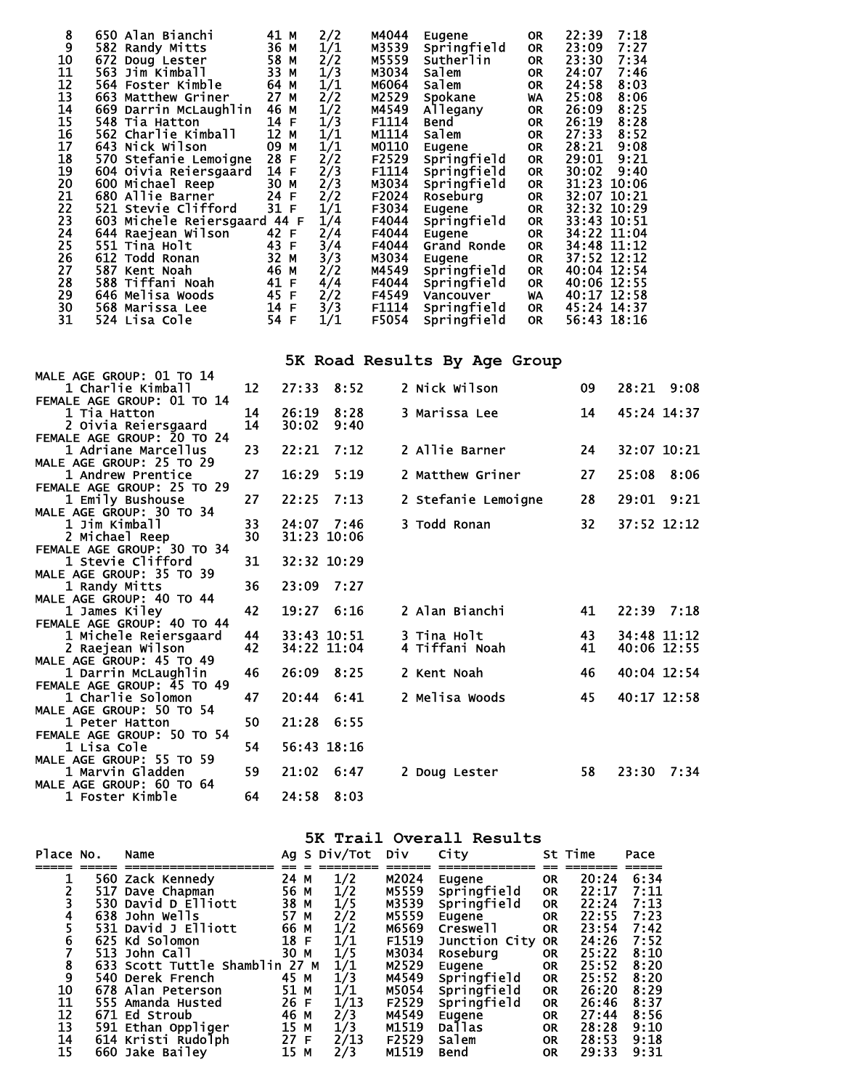| 8           | 650 Alan Bianchi        | 41 M     | 2/2 | M4044 | Eugene      | <b>OR</b> | 22:39       | 7:18 |
|-------------|-------------------------|----------|-----|-------|-------------|-----------|-------------|------|
| $\tilde{9}$ | 582 Randy Mitts         | 36 M     | 1/1 | M3539 | Springfield | <b>OR</b> | 23:09       | 7:27 |
| 10          | 672 Doug Lester         | 58 M     | 2/2 | M5559 | Sutherlin   | <b>OR</b> | 23:30       | 7:34 |
| 11          | 563 Jim Kimball         | 33 M     | 1/3 | M3034 | Salem       | <b>OR</b> | 24:07       | 7:46 |
| 12          | 564 Foster Kimble       | 64 M     | 1/1 | M6064 | salem       | <b>OR</b> | 24:58       | 8:03 |
| 13          | 663 Matthew Griner      | 27 M     | 2/2 | M2529 | Spokane     | WA        | 25:08       | 8:06 |
| 14          | 669 Darrin McLaughlin   | 46 M     | 1/2 | M4549 | Allegany    | <b>OR</b> | 26:09       | 8:25 |
| 15          | 548 Tia Hatton          | 14<br>F  | 1/3 | F1114 | Bend        | <b>OR</b> | 26:19       | 8:28 |
| 16          | 562 Charlie Kimball     | 12<br>M  | 1/1 | M1114 | Salem       | <b>OR</b> | 27:33       | 8:52 |
| 17          | 643 Nick Wilson         | 09 M     | 1/1 | M0110 | Eugene      | <b>OR</b> | 28:21       | 9:08 |
| 18          | 570 Stefanie Lemoigne   | 28 F     | 2/2 | F2529 | Springfield | <b>OR</b> | 29:01       | 9:21 |
| 19          | 604 Oivia Reiersgaard   | 14<br>F  | 2/3 | F1114 | Springfield | <b>OR</b> | 30:02       | 9:40 |
| 20          | 600 Michael Reep        | 30 M     | 2/3 | M3034 | Springfield | <b>OR</b> | 31:23 10:06 |      |
| 21          | 680 Allie Barner        | 24<br>F  | 2/2 | F2024 | Roseburg    | <b>OR</b> | 32:07 10:21 |      |
| 22          | 521 Stevie Clifford     | 31 F     | 1/1 | F3034 | Eugene      | <b>OR</b> | 32:32 10:29 |      |
| 23          | 603 Michele Reiersgaard | 44 F     | 1/4 | F4044 | Springfield | <b>OR</b> | 33:43 10:51 |      |
| 24          | 644 Raejean Wilson      | 42 F     | 2/4 | F4044 | Eugene      | <b>OR</b> | 34:22 11:04 |      |
| 25          | 551 Tina Holt           | 43<br>E  | 3/4 | F4044 | Grand Ronde | <b>OR</b> | 34:48 11:12 |      |
| 26          | 612 Todd Ronan          | 32<br>M  | 3/3 | M3034 | Eugene      | <b>OR</b> | 37:52 12:12 |      |
| 27          | 587 Kent Noah           | 46 M     | 2/2 | M4549 | Springfield | <b>OR</b> | 40:04 12:54 |      |
| 28          | 588 Tiffani Noah        | 41<br>F  | 4/4 | F4044 | Springfield | <b>OR</b> | 40:06 12:55 |      |
| 29          | 646 Melisa Woods        | 45 F     | 2/2 | F4549 | Vancouver   | WA        | 40:17 12:58 |      |
| 30          | 568 Marissa Lee         | 14<br>F  | 3/3 | F1114 | Springfield | <b>OR</b> | 45:24 14:37 |      |
| 31          | 524 Lisa Cole           | 54<br>-F | 1/1 | F5054 | Springfield | <b>OR</b> | 56:43 18:16 |      |
|             |                         |          |     |       |             |           |             |      |

**5K Road Results By Age Group** 

|                            |    |       |                | --- ----- --------- --, --g- |    |                |
|----------------------------|----|-------|----------------|------------------------------|----|----------------|
| MALE AGE GROUP: 01 TO 14   |    |       |                |                              |    |                |
| 1 Charlie Kimball          | 12 |       | $27:33$ $8:52$ | 2 Nick Wilson                | 09 | $28:21$ $9:08$ |
| FEMALE AGE GROUP: 01 TO 14 |    |       |                |                              |    |                |
| 1 Tia Hatton               | 14 | 26:19 | 8:28           | 3 Marissa Lee                | 14 | 45:24 14:37    |
| 2 Oivia Reiersgaard        | 14 | 30:02 | 9:40           |                              |    |                |
| FEMALE AGE GROUP: 20 TO 24 |    |       |                |                              |    |                |
| 1 Adriane Marcellus        | 23 | 22:21 | 7:12           | 2 Allie Barner               | 24 | 32:07 10:21    |
| MALE AGE GROUP: 25 TO 29   |    |       |                |                              |    |                |
| 1 Andrew Prentice          | 27 | 16:29 | 5:19           | 2 Matthew Griner             | 27 | 25:08<br>8:06  |
| FEMALE AGE GROUP: 25 TO 29 |    |       |                |                              |    |                |
| 1 Emily Bushouse           | 27 | 22:25 | 7:13           | 2 Stefanie Lemoigne          | 28 | 29:01 9:21     |
| MALE AGE GROUP: 30 TO 34   |    |       |                |                              |    |                |
| 1 Jim Kimball              | 33 |       | 24:07 7:46     | 3 Todd Ronan                 | 32 | 37:52 12:12    |
| 2 Michael Reep             | 30 |       | 31:23 10:06    |                              |    |                |
| FEMALE AGE GROUP: 30 TO 34 |    |       |                |                              |    |                |
| 1 Stevie Clifford          | 31 |       | 32:32 10:29    |                              |    |                |
| MALE AGE GROUP: 35 TO 39   |    |       |                |                              |    |                |
| 1 Randy Mitts              | 36 | 23:09 | 7:27           |                              |    |                |
| MALE AGE GROUP: 40 TO 44   |    |       |                |                              |    |                |
| 1 James Kiley              | 42 |       | 19:27 6:16     | 2 Alan Bianchi               | 41 | $22:39$ $7:18$ |
| FEMALE AGE GROUP: 40 TO 44 |    |       |                |                              |    |                |
| 1 Michele Reiersgaard      | 44 |       | 33:43 10:51    | 3 Tina Holt                  | 43 | 34:48 11:12    |
| 2 Raejean Wilson           | 42 |       | 34:22 11:04    | 4 Tiffani Noah               | 41 | 40:06 12:55    |
| MALE AGE GROUP: 45 TO 49   |    |       |                |                              |    |                |
| 1 Darrin McLaughlin        | 46 | 26:09 | 8:25           | 2 Kent Noah                  | 46 | 40:04 12:54    |
| FEMALE AGE GROUP: 45 TO 49 |    |       |                |                              |    |                |
| 1 Charlie Solomon          | 47 | 20:44 | 6:41           | 2 Melisa Woods               | 45 | 40:17 12:58    |
| MALE AGE GROUP: 50 TO 54   |    |       |                |                              |    |                |
| 1 Peter Hatton             | 50 |       | 21:28 6:55     |                              |    |                |
| FEMALE AGE GROUP: 50 TO 54 |    |       |                |                              |    |                |
| 1 Lisa Cole                | 54 |       | 56:43 18:16    |                              |    |                |
| MALE AGE GROUP: 55 TO 59   |    |       |                |                              |    |                |
| 1 Marvin Gladden           | 59 |       | 21:02 6:47     | 2 Doug Lester                | 58 | 23:30 7:34     |
| MALE AGE GROUP: 60 TO 64   |    |       | 24:58 8:03     |                              |    |                |
| 1 Foster Kimble            | 64 |       |                |                              |    |                |

| Place No. | Name                           |      | Ag S Div/Tot Div |       | City          |           | St Time | Pace |
|-----------|--------------------------------|------|------------------|-------|---------------|-----------|---------|------|
|           |                                |      |                  |       |               |           |         |      |
|           | 560 Zack Kennedy               | 24 M | 1/2              | M2024 | Eugene        | <b>OR</b> | 20:24   | 6:34 |
|           | 517 Dave Chapman               | 56 M | 1/2              | M5559 | Springfield   | <b>OR</b> | 22:17   | 7:11 |
|           | 530 David D Elliott            | 38 M | 1/5              | M3539 | Springfield   | <b>OR</b> | 22:24   | 7:13 |
|           | 638 John Wells                 | 57 M | 2/2              | M5559 | Eugene        | <b>OR</b> | 22:55   | 7:23 |
|           | 531 David J Elliott            | 66 M | 1/2              | M6569 | Creswell      | <b>OR</b> | 23:54   | 7:42 |
| 6         | 625 Kd Solomon                 | 18 F | 1/1              | F1519 | Junction City | <b>OR</b> | 24:26   | 7:52 |
|           | 513 John Call                  | 30 M | 1/5              | M3034 | Rosebura      | <b>OR</b> | 25:22   | 8:10 |
| 8         | 633 Scott Tuttle Shamblin 27 M |      | 1/1              | M2529 | Eugene        | <b>OR</b> | 25:52   | 8:20 |
|           | 540 Derek French               | 45 M | 1/3              | M4549 | Springfield   | <b>OR</b> | 25:52   | 8:20 |
| 10        | 678 Alan Peterson              | 51 M | 1/1              | M5054 | Springfield   | <b>OR</b> | 26:20   | 8:29 |
| 11        | 555 Amanda Husted              | 26 F | 1/13             | F2529 | Springfield   | <b>OR</b> | 26:46   | 8:37 |
| 12        | 671 Ed Stroub                  | 46 M | 2/3              | M4549 | Eugene        | <b>OR</b> | 27:44   | 8:56 |
| 13        | 591 Ethan Oppliger             | 15 M | 1/3              | M1519 | <b>Dallas</b> | <b>OR</b> | 28:28   | 9:10 |
| 14        | 614 Kristi Rudolph             | 27 F | 2/13             | F2529 | Salem         | <b>OR</b> | 28:53   | 9:18 |
| 15        | 660 Jake Bailey                | 15 M | 2/3              | M1519 | Bend          | <b>OR</b> | 29:33   | 9:31 |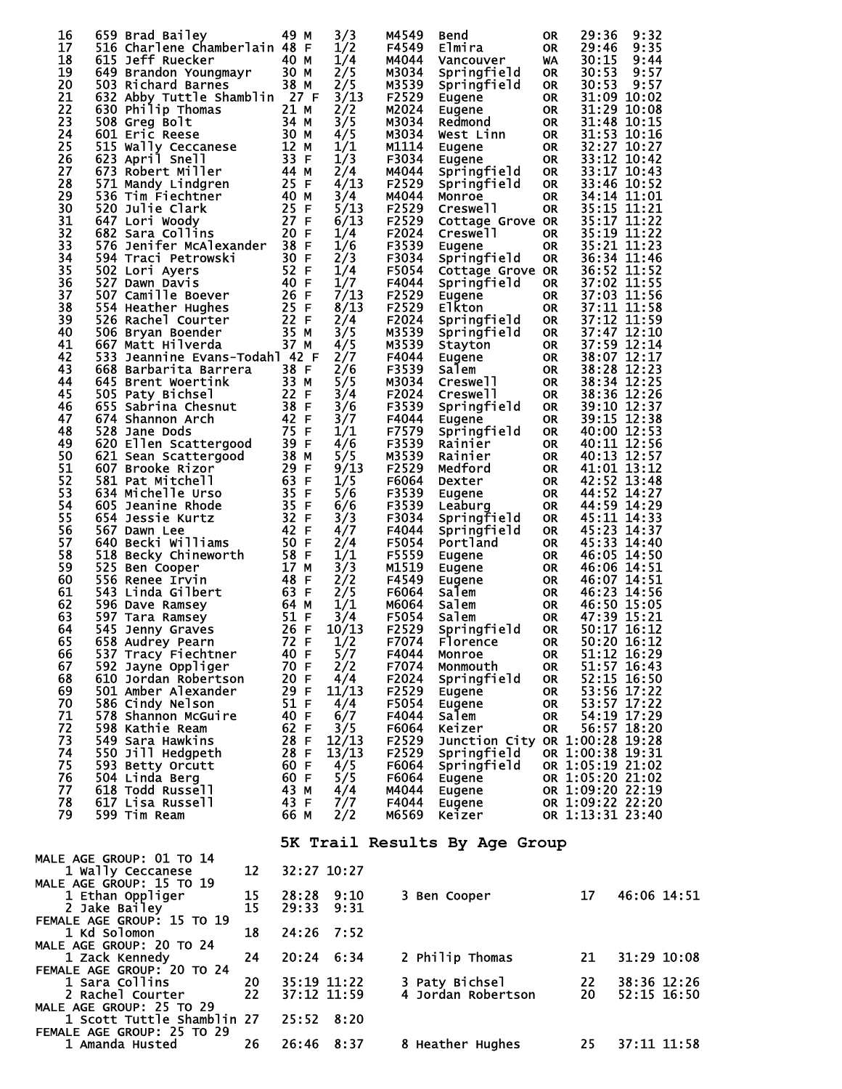| 16<br>17<br>18<br>19<br>20<br>21<br>22<br>23<br>24<br>25<br>26<br>27<br>28<br>29<br>30<br>31<br>32<br>33<br>34<br>35<br>36<br>37<br>38<br>39<br>40<br>41<br>42<br>43<br>44<br>45<br>46<br>47<br>48<br>49<br>50<br>51<br>52<br>53<br>54<br>55<br>56<br>57<br>58<br>59<br>60<br>61<br>62<br>63<br>64<br>65<br>66<br>67<br>68<br>69<br>70<br>71<br>72<br>73 | 659 Brad Bailey<br>516 Charlene Chamberlain 48 F<br>615 Jeff Ruecker<br>649 Brandon Youngmayr 30 M<br>503 Richard Barnes<br>632 Abby Tuttle Shamblin 27 F<br>630 Philip Thomas<br>508 Greg Bolt<br>601 Eric Reese<br>515 Wally Ceccanese<br>623 April Snell<br>673 Robert Miller<br>571 Mandy Lindgren<br>536 Tim Fiechtner<br>520 Julie Clark<br>647 Lori Woody<br>682 Sara Collins<br>576 Jenifer McAlexander 38 F<br>594 Traci Petrowski<br>502 Lori Ayers<br>527 Dawn Davis<br>507 Camille Boever<br>554 Heather Hughes<br>526 Rachel Courter<br>506 Bryan Boender<br>667 Matt Hilverda<br>533 Jeannine Evans-Todahl 42 F<br>668 Barbarita Barrera<br>645 Brent Woertink<br>505 Paty Bichsel<br>655 Sabrina Chesnut<br>674 Shannon Arch<br>528 Jane Dods<br>620 Ellen Scattergood<br>621 Sean Scattergood<br>607 Brooke Rizor<br>581 Pat Mitchell<br>634 Michelle Urso<br>605 Jeanine Rhode<br>654 Jessie Kurtz<br>567 Dawn Lee<br>640 Becki Williams<br>518 Becky Chineworth<br>525 Ben Cooper<br>556 Renee Irvin<br>543 Linda Gilbert<br>596 Dave Ramsey<br>597 Tara Ramsey<br>545 Jenny Graves<br>658 Audust Beers<br>658 Audrey Pearn 72 F<br>537 Tracy Fiechtner<br>592 Jayne Oppliger<br>610 Jordan Robertson<br>501 Amber Alexander<br>586 Cindy Nelson<br>578 Shannon McGuire<br>598 Kathie Ream<br>549 Sara Hawkins | 49 M<br>40 M<br>38 M<br>21 M<br>34 M<br>30 M<br>12 M<br>33 F<br>44 M<br>25 F<br>40 M<br>25 F<br>27 F<br>20 F<br>30 F<br>52 F<br>40 F<br>26 F<br>25 F<br>22 F<br>35 M<br>37 M<br>38 F<br>33 M<br>22 F<br>38 F<br>42 F<br>75 F<br>39 F<br>38 M<br>29 F<br>63 F<br>35 F<br>35 F<br>32 F<br>42 F<br>50 F<br>58 F<br>17 M<br>48 F<br>63 F<br>64 M<br>51 F<br>26 F<br>40 F<br>70 F<br>20 F<br>29 F<br>51 F<br>40 F<br>62 F<br>28 F |       | 3/3<br>1/2<br>1/4<br>2/5<br>2/5<br>3/13<br>2/2<br>3/5<br>4/5<br>1/1<br>1/3<br>2/4<br>4/13<br>3/4<br>5/13<br>6/13<br>1/4<br>1/6<br>2/3<br>1/4<br>1/7<br>7/13<br>8/13<br>2/4<br>3/5<br>4/5<br>2/7<br>2/6<br>5/5<br>3/4<br>3/6<br>3/7<br>1/1<br>4/6<br>5/5<br>9/13<br>1/5<br>5/6<br>6/6<br>3/3<br>4/7<br>2/4<br>1/1<br>3/3<br>2/2<br>2/5<br>1/1<br>3/4<br>10/13<br>1/2<br>5/7<br>2/2<br>4/4<br>11/13<br>4/4<br>6/7<br>3/5<br>12/13 | M4549<br>F4549<br>M4044<br>M3034<br>M3539<br>F2529<br>M2024<br>M3034<br>M3034<br>M1114<br>F3034<br>M4044<br>F2529<br>M4044<br>F2529<br>F2529<br>F2024<br>F3539<br>F3034<br>F5054<br>F4044<br>F2529<br>F2529<br>F2024<br>M3539<br>M3539<br>F4044<br>F3539<br>M3034<br>F2024<br>F3539<br>F4044<br>F7579<br>F3539<br>M3539<br>F2529<br>F6064<br>F3539<br>F3539<br>F3034<br>F4044<br>F5054<br>F5559<br>M1519<br>F4549<br>F6064<br>м6064<br>F5054<br>F2529<br>F7074<br>F4044<br>F7074<br>F2024<br>F5054<br>F4044<br>F6064<br>F2529 | Bend<br>Elmira<br>Vancouver<br>Springfield<br>Springfield<br>Eugene<br>Eugene<br>Redmond<br>West Linn<br>Eugene<br>Eugene<br>Springfield<br>Springfield<br>Monroe<br>Creswell<br>Cottage Grove OR<br>Creswell<br>Eugene<br>Springfield<br>Cottage Grove OR<br>Springfield<br>Eugene<br><b>Elkton</b><br>Springfield<br>Springfield<br>Stayton<br>Eugene<br>Salem<br>Creswell<br><b>Creswell</b><br>Springfield<br>Eugene<br>Springfield<br>Rainier<br>Rainier<br>Medford<br>Dexter<br>Eugene<br>Leaburg<br>Springfield<br>Springfield<br>Portland<br>Eugene<br>Eugene<br>Eugene<br>Salem<br>Salem<br>Salem<br>Springfield<br>Florence<br>Monroe<br>Monmouth<br>Springfield<br>F2529 Eugene<br>Eugene<br>Salem<br>Keizer<br>Junction City OR 1:00:28 19:28 | 0R<br>0R<br><b>WA</b><br>0R<br>0R.<br>0R<br><b>OR</b><br><b>OR</b><br><b>OR</b><br>OR.<br><b>OR</b><br>OR.<br><b>OR</b><br><b>OR</b><br><b>OR</b><br>OR.<br><b>OR</b><br><b>OR</b><br>OR.<br>OR.<br><b>OR</b><br>0R<br><b>OR</b><br><b>OR</b><br><b>OR</b><br><b>OR</b><br><b>OR</b><br><b>OR</b><br>0R<br>OR.<br><b>OR</b><br>0R<br><b>OR</b><br>0R<br>0R<br>0R<br>0R<br>0R<br>0R.<br>0R<br>0R<br>OR.<br><b>OR</b><br><b>OR</b><br><b>OR</b><br><b>OR</b><br><b>OR</b><br><b>OR</b><br>0R<br>OR.<br>OR.<br>OR.<br><b>OR</b><br>0R<br>0R | 29:36<br>29:46<br>30:15<br>30:53<br>30:53                                    | 9:32<br>9:35<br>9:44<br>9:57<br>9:57<br>31:09 10:02<br>31:29 10:08<br>31:48 10:15<br>31:53 10:16<br>32:27 10:27<br>33:12 10:42<br>33:17 10:43<br>33:46 10:52<br>34:14 11:01<br>35:15 11:21<br>35:17 11:22<br>35:19 11:22<br>35:21 11:23<br>36:34 11:46<br>36:52 11:52<br>37:02 11:55<br>37:03 11:56<br>37:11 11:58<br>37:12 11:59<br>37:47 12:10<br>37:59 12:14<br>38:07 12:17<br>38:28 12:23<br>38:34 12:25<br>38:36 12:26<br>39:10 12:37<br>39:15 12:38<br>40:00 12:53<br>40:11 12:56<br>40:13 12:57<br>41:01 13:12<br>42:52 13:48<br>44:52 14:27<br>44:59 14:29<br>45:11 14:33<br>45:23 14:37<br>45:33 14:40<br>46:05 14:50<br>46:06 14:51<br>46:07 14:51<br>46:23 14:56<br>46:50 15:05<br>47:39 15:21<br>50:17 16:12<br>50:20 16:12<br>51:12 16:29<br>51:57 16:43<br>52:15 16:50<br>53:56 17:22<br>53:57 17:22<br>54:19 17:29<br>56:57 18:20 |  |
|----------------------------------------------------------------------------------------------------------------------------------------------------------------------------------------------------------------------------------------------------------------------------------------------------------------------------------------------------------|----------------------------------------------------------------------------------------------------------------------------------------------------------------------------------------------------------------------------------------------------------------------------------------------------------------------------------------------------------------------------------------------------------------------------------------------------------------------------------------------------------------------------------------------------------------------------------------------------------------------------------------------------------------------------------------------------------------------------------------------------------------------------------------------------------------------------------------------------------------------------------------------------------------------------------------------------------------------------------------------------------------------------------------------------------------------------------------------------------------------------------------------------------------------------------------------------------------------------------------------------------------------------------------------------------------------------------|------------------------------------------------------------------------------------------------------------------------------------------------------------------------------------------------------------------------------------------------------------------------------------------------------------------------------------------------------------------------------------------------------------------------------|-------|---------------------------------------------------------------------------------------------------------------------------------------------------------------------------------------------------------------------------------------------------------------------------------------------------------------------------------------------------------------------------------------------------------------------------------|-------------------------------------------------------------------------------------------------------------------------------------------------------------------------------------------------------------------------------------------------------------------------------------------------------------------------------------------------------------------------------------------------------------------------------------------------------------------------------------------------------------------------------|-----------------------------------------------------------------------------------------------------------------------------------------------------------------------------------------------------------------------------------------------------------------------------------------------------------------------------------------------------------------------------------------------------------------------------------------------------------------------------------------------------------------------------------------------------------------------------------------------------------------------------------------------------------------------------------------------------------------------------------------------------------|------------------------------------------------------------------------------------------------------------------------------------------------------------------------------------------------------------------------------------------------------------------------------------------------------------------------------------------------------------------------------------------------------------------------------------------------------------------------------------------------------------------------------------------|------------------------------------------------------------------------------|--------------------------------------------------------------------------------------------------------------------------------------------------------------------------------------------------------------------------------------------------------------------------------------------------------------------------------------------------------------------------------------------------------------------------------------------------------------------------------------------------------------------------------------------------------------------------------------------------------------------------------------------------------------------------------------------------------------------------------------------------------------------------------------------------------------------------------------------------|--|
| 74<br>75<br>76<br>77                                                                                                                                                                                                                                                                                                                                     | 550 Jill Hedgpeth<br>593 Betty Orcutt<br>504 Linda Berg<br>618 Todd Russell                                                                                                                                                                                                                                                                                                                                                                                                                                                                                                                                                                                                                                                                                                                                                                                                                                                                                                                                                                                                                                                                                                                                                                                                                                                      | 28 F<br>60 F<br>60 F<br>43 M                                                                                                                                                                                                                                                                                                                                                                                                 |       | 13/13<br>4/5<br>5/5<br>4/4                                                                                                                                                                                                                                                                                                                                                                                                      | F2529<br>F6064<br>M4044                                                                                                                                                                                                                                                                                                                                                                                                                                                                                                       | Springfield<br>F6064 Springfield<br>Eugene<br>Eugene                                                                                                                                                                                                                                                                                                                                                                                                                                                                                                                                                                                                                                                                                                      |                                                                                                                                                                                                                                                                                                                                                                                                                                                                                                                                          | OR 1:00:38 19:31<br>OR 1:05:19 21:02<br>OR 1:05:20 21:02<br>OR 1:09:20 22:19 |                                                                                                                                                                                                                                                                                                                                                                                                                                                                                                                                                                                                                                                                                                                                                                                                                                                  |  |
| 78<br>79                                                                                                                                                                                                                                                                                                                                                 | 617 Lisa Russell<br>599 Tim Ream                                                                                                                                                                                                                                                                                                                                                                                                                                                                                                                                                                                                                                                                                                                                                                                                                                                                                                                                                                                                                                                                                                                                                                                                                                                                                                 | 43 F<br>66 M                                                                                                                                                                                                                                                                                                                                                                                                                 |       | 7/7<br>2/2                                                                                                                                                                                                                                                                                                                                                                                                                      | F4044<br>M6569                                                                                                                                                                                                                                                                                                                                                                                                                                                                                                                | Eugene<br>Keizer                                                                                                                                                                                                                                                                                                                                                                                                                                                                                                                                                                                                                                                                                                                                          |                                                                                                                                                                                                                                                                                                                                                                                                                                                                                                                                          | OR 1:09:22 22:20<br>OR 1:13:31 23:40                                         |                                                                                                                                                                                                                                                                                                                                                                                                                                                                                                                                                                                                                                                                                                                                                                                                                                                  |  |
|                                                                                                                                                                                                                                                                                                                                                          | <b>MALE AGE GROUP: 01 TO 14</b><br>1 Wally Ceccanese                                                                                                                                                                                                                                                                                                                                                                                                                                                                                                                                                                                                                                                                                                                                                                                                                                                                                                                                                                                                                                                                                                                                                                                                                                                                             | 12                                                                                                                                                                                                                                                                                                                                                                                                                           |       | 32:27 10:27                                                                                                                                                                                                                                                                                                                                                                                                                     |                                                                                                                                                                                                                                                                                                                                                                                                                                                                                                                               | 5K Trail Results By Age Group                                                                                                                                                                                                                                                                                                                                                                                                                                                                                                                                                                                                                                                                                                                             |                                                                                                                                                                                                                                                                                                                                                                                                                                                                                                                                          |                                                                              |                                                                                                                                                                                                                                                                                                                                                                                                                                                                                                                                                                                                                                                                                                                                                                                                                                                  |  |
|                                                                                                                                                                                                                                                                                                                                                          | <b>MALE AGE GROUP: 15 TO 19</b><br>1 Ethan Oppliger<br>2 Jake Bailey                                                                                                                                                                                                                                                                                                                                                                                                                                                                                                                                                                                                                                                                                                                                                                                                                                                                                                                                                                                                                                                                                                                                                                                                                                                             | 15<br>15                                                                                                                                                                                                                                                                                                                                                                                                                     | 29:33 | 28:28 9:10<br>9:31                                                                                                                                                                                                                                                                                                                                                                                                              |                                                                                                                                                                                                                                                                                                                                                                                                                                                                                                                               | 3 Ben Cooper                                                                                                                                                                                                                                                                                                                                                                                                                                                                                                                                                                                                                                                                                                                                              |                                                                                                                                                                                                                                                                                                                                                                                                                                                                                                                                          | 17                                                                           | 46:06 14:51                                                                                                                                                                                                                                                                                                                                                                                                                                                                                                                                                                                                                                                                                                                                                                                                                                      |  |
| 1 Kd Solomon                                                                                                                                                                                                                                                                                                                                             | FEMALE AGE GROUP: 15 TO 19<br><b>MALE AGE GROUP: 20 TO 24</b>                                                                                                                                                                                                                                                                                                                                                                                                                                                                                                                                                                                                                                                                                                                                                                                                                                                                                                                                                                                                                                                                                                                                                                                                                                                                    | 18                                                                                                                                                                                                                                                                                                                                                                                                                           | 24:26 | 7:52                                                                                                                                                                                                                                                                                                                                                                                                                            |                                                                                                                                                                                                                                                                                                                                                                                                                                                                                                                               |                                                                                                                                                                                                                                                                                                                                                                                                                                                                                                                                                                                                                                                                                                                                                           |                                                                                                                                                                                                                                                                                                                                                                                                                                                                                                                                          |                                                                              |                                                                                                                                                                                                                                                                                                                                                                                                                                                                                                                                                                                                                                                                                                                                                                                                                                                  |  |
|                                                                                                                                                                                                                                                                                                                                                          | 1 Zack Kennedy<br>FEMALE AGE GROUP: 20 TO 24                                                                                                                                                                                                                                                                                                                                                                                                                                                                                                                                                                                                                                                                                                                                                                                                                                                                                                                                                                                                                                                                                                                                                                                                                                                                                     | 24<br>20                                                                                                                                                                                                                                                                                                                                                                                                                     |       | 20:24 6:34                                                                                                                                                                                                                                                                                                                                                                                                                      |                                                                                                                                                                                                                                                                                                                                                                                                                                                                                                                               | 2 Philip Thomas                                                                                                                                                                                                                                                                                                                                                                                                                                                                                                                                                                                                                                                                                                                                           |                                                                                                                                                                                                                                                                                                                                                                                                                                                                                                                                          | 21                                                                           | 31:29 10:08                                                                                                                                                                                                                                                                                                                                                                                                                                                                                                                                                                                                                                                                                                                                                                                                                                      |  |
|                                                                                                                                                                                                                                                                                                                                                          | 1 Sara Collins<br>2 Rachel Courter<br><b>MALE AGE GROUP: 25 TO 29</b>                                                                                                                                                                                                                                                                                                                                                                                                                                                                                                                                                                                                                                                                                                                                                                                                                                                                                                                                                                                                                                                                                                                                                                                                                                                            | 22                                                                                                                                                                                                                                                                                                                                                                                                                           |       | 35:19 11:22<br>37:12 11:59                                                                                                                                                                                                                                                                                                                                                                                                      |                                                                                                                                                                                                                                                                                                                                                                                                                                                                                                                               | 3 Paty Bichsel<br>4 Jordan Robertson                                                                                                                                                                                                                                                                                                                                                                                                                                                                                                                                                                                                                                                                                                                      |                                                                                                                                                                                                                                                                                                                                                                                                                                                                                                                                          | 22<br>20                                                                     | 38:36 12:26<br>52:15 16:50                                                                                                                                                                                                                                                                                                                                                                                                                                                                                                                                                                                                                                                                                                                                                                                                                       |  |
|                                                                                                                                                                                                                                                                                                                                                          | 1 Scott Tuttle Shamblin 27<br>FEMALE AGE GROUP: 25 TO 29<br>1 Amanda Husted                                                                                                                                                                                                                                                                                                                                                                                                                                                                                                                                                                                                                                                                                                                                                                                                                                                                                                                                                                                                                                                                                                                                                                                                                                                      | 26                                                                                                                                                                                                                                                                                                                                                                                                                           |       | 25:52 8:20<br>26:46 8:37                                                                                                                                                                                                                                                                                                                                                                                                        |                                                                                                                                                                                                                                                                                                                                                                                                                                                                                                                               | 8 Heather Hughes                                                                                                                                                                                                                                                                                                                                                                                                                                                                                                                                                                                                                                                                                                                                          |                                                                                                                                                                                                                                                                                                                                                                                                                                                                                                                                          | 25.                                                                          | 37:11 11:58                                                                                                                                                                                                                                                                                                                                                                                                                                                                                                                                                                                                                                                                                                                                                                                                                                      |  |
|                                                                                                                                                                                                                                                                                                                                                          |                                                                                                                                                                                                                                                                                                                                                                                                                                                                                                                                                                                                                                                                                                                                                                                                                                                                                                                                                                                                                                                                                                                                                                                                                                                                                                                                  |                                                                                                                                                                                                                                                                                                                                                                                                                              |       |                                                                                                                                                                                                                                                                                                                                                                                                                                 |                                                                                                                                                                                                                                                                                                                                                                                                                                                                                                                               |                                                                                                                                                                                                                                                                                                                                                                                                                                                                                                                                                                                                                                                                                                                                                           |                                                                                                                                                                                                                                                                                                                                                                                                                                                                                                                                          |                                                                              |                                                                                                                                                                                                                                                                                                                                                                                                                                                                                                                                                                                                                                                                                                                                                                                                                                                  |  |